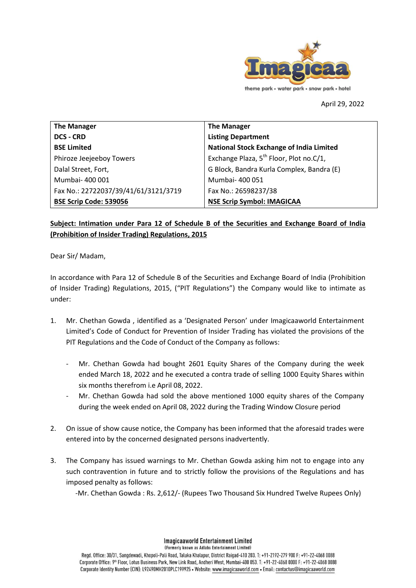

April 29, 2022

**The Manager DCS - CRD BSE Limited** Phiroze Jeejeeboy Towers Dalal Street, Fort, Mumbai- 400 001 Fax No.: 22722037/39/41/61/3121/3719 **BSE Scrip Code: 539056 The Manager Listing Department National Stock Exchange of India Limited** Exchange Plaza,  $5^{th}$  Floor, Plot no.C/1, G Block, Bandra Kurla Complex, Bandra (E) Mumbai- 400 051 Fax No.: 26598237/38 **NSE Scrip Symbol: IMAGICAA**

# **Subject: Intimation under Para 12 of Schedule B of the Securities and Exchange Board of India (Prohibition of Insider Trading) Regulations, 2015**

Dear Sir/ Madam,

In accordance with Para 12 of Schedule B of the Securities and Exchange Board of India (Prohibition of Insider Trading) Regulations, 2015, ("PIT Regulations") the Company would like to intimate as under:

- 1. Mr. Chethan Gowda , identified as a 'Designated Person' under Imagicaaworld Entertainment Limited's Code of Conduct for Prevention of Insider Trading has violated the provisions of the PIT Regulations and the Code of Conduct of the Company as follows:
	- Mr. Chethan Gowda had bought 2601 Equity Shares of the Company during the week ended March 18, 2022 and he executed a contra trade of selling 1000 Equity Shares within six months therefrom i.e April 08, 2022.
	- Mr. Chethan Gowda had sold the above mentioned 1000 equity shares of the Company during the week ended on April 08, 2022 during the Trading Window Closure period
- 2. On issue of show cause notice, the Company has been informed that the aforesaid trades were entered into by the concerned designated persons inadvertently.
- 3. The Company has issued warnings to Mr. Chethan Gowda asking him not to engage into any such contravention in future and to strictly follow the provisions of the Regulations and has imposed penalty as follows:

-Mr. Chethan Gowda : Rs. 2,612/- (Rupees Two Thousand Six Hundred Twelve Rupees Only)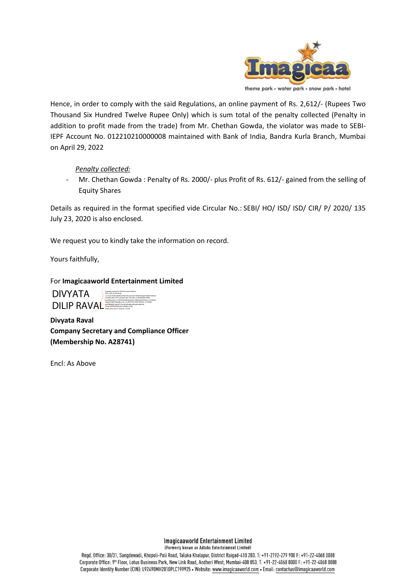

Hence, in order to comply with the said Regulations, an online payment of Rs. 2,612/- (Rupees Two Thousand Six Hundred Twelve Rupee Only) which is sum total of the penalty collected (Penalty in addition to profit made from the trade) from Mr. Chethan Gowda, the violator was made to SEBI-IEPF Account No. 012210210000008 maintained with Bank of India, Bandra Kurla Branch, Mumbai on April 29, 2022

#### *Penalty collected:*

Mr. Chethan Gowda : Penalty of Rs. 2000/- plus Profit of Rs. 612/- gained from the selling of Equity Shares

Details as required in the format specified vide Circular No.: SEBI/ HO/ ISD/ ISD/ CIR/ P/ 2020/ 135 July 23, 2020 is also enclosed.

We request you to kindly take the information on record.

Yours faithfully,

For **Imagicaaworld Entertainment Limited**

DIVYATA **DILIP RAVAL:** 

Digitally signed by DIVYATA DILIP RAVAL DN: c=IN, o=Personal, 2.5.4.20=f206a3b69d2e78a19bc4e7c05196f0cf366ab759b52780eee 0c2690cebacc473, postalCode=401209, st=MAHARASHTRA, serialNumber=3c5307b462bba0ed52cc38bd309cbf49ae71c243be5 c6a25918f091864dbcce5, cn=DIVYATA DILIP RAVAL, l=THANE, pseudonym=dfe9f110e340400e8bcd9cadaea869cb, email=DIVYATARAVAL@GMAIL.COM Date: 2022.04.29 18:06:35 +05'30'

**Divyata Raval Company Secretary and Compliance Officer (Membership No. A28741)**

Encl: As Above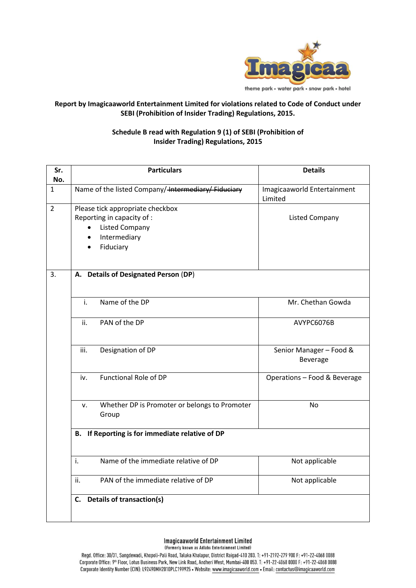

## **Report by Imagicaaworld Entertainment Limited for violations related to Code of Conduct under SEBI (Prohibition of Insider Trading) Regulations, 2015.**

## **Schedule B read with Regulation 9 (1) of SEBI (Prohibition of Insider Trading) Regulations, 2015**

| Sr.<br>No.     | <b>Particulars</b>                                                                                                   | <b>Details</b>                         |  |  |
|----------------|----------------------------------------------------------------------------------------------------------------------|----------------------------------------|--|--|
| 1              | Name of the listed Company/ <del>Intermediary/Fiduciary</del>                                                        | Imagicaaworld Entertainment<br>Limited |  |  |
| $\overline{2}$ | Please tick appropriate checkbox<br>Reporting in capacity of :<br><b>Listed Company</b><br>Intermediary<br>Fiduciary | <b>Listed Company</b>                  |  |  |
| 3.             | A. Details of Designated Person (DP)                                                                                 |                                        |  |  |
|                | Name of the DP<br>i.                                                                                                 | Mr. Chethan Gowda                      |  |  |
|                | PAN of the DP<br>ii.                                                                                                 | AVYPC6076B                             |  |  |
|                | Designation of DP<br>iii.                                                                                            | Senior Manager - Food &<br>Beverage    |  |  |
|                | <b>Functional Role of DP</b><br>iv.                                                                                  | Operations - Food & Beverage           |  |  |
|                | Whether DP is Promoter or belongs to Promoter<br>v.<br>Group                                                         | <b>No</b>                              |  |  |
|                | B. If Reporting is for immediate relative of DP                                                                      |                                        |  |  |
|                | Name of the immediate relative of DP<br>i.                                                                           | Not applicable                         |  |  |
|                | PAN of the immediate relative of DP<br>ii.                                                                           | Not applicable                         |  |  |
|                | C. Details of transaction(s)                                                                                         |                                        |  |  |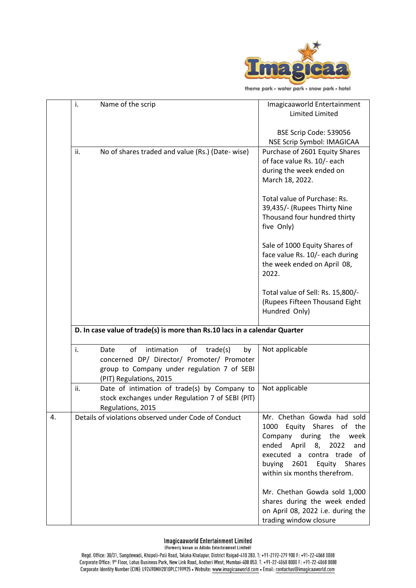

theme park • water park • snow park • hotel

|    | i.  | Name of the scrip                                                                                                                                                        | Imagicaaworld Entertainment<br><b>Limited Limited</b>                                                                                                                                                                               |  |  |  |
|----|-----|--------------------------------------------------------------------------------------------------------------------------------------------------------------------------|-------------------------------------------------------------------------------------------------------------------------------------------------------------------------------------------------------------------------------------|--|--|--|
|    |     |                                                                                                                                                                          | BSE Scrip Code: 539056<br>NSE Scrip Symbol: IMAGICAA                                                                                                                                                                                |  |  |  |
|    | ii. | No of shares traded and value (Rs.) (Date- wise)                                                                                                                         | Purchase of 2601 Equity Shares<br>of face value Rs. 10/- each<br>during the week ended on<br>March 18, 2022.                                                                                                                        |  |  |  |
|    |     |                                                                                                                                                                          | Total value of Purchase: Rs.<br>39,435/- (Rupees Thirty Nine<br>Thousand four hundred thirty<br>five Only)                                                                                                                          |  |  |  |
|    |     |                                                                                                                                                                          | Sale of 1000 Equity Shares of<br>face value Rs. 10/- each during<br>the week ended on April 08,<br>2022.                                                                                                                            |  |  |  |
|    |     |                                                                                                                                                                          | Total value of Sell: Rs. 15,800/-<br>(Rupees Fifteen Thousand Eight<br>Hundred Only)                                                                                                                                                |  |  |  |
|    |     | D. In case value of trade(s) is more than Rs.10 lacs in a calendar Quarter                                                                                               |                                                                                                                                                                                                                                     |  |  |  |
|    | i.  | of<br>intimation<br>Date<br>of<br>trade(s)<br>by<br>concerned DP/ Director/ Promoter/ Promoter<br>group to Company under regulation 7 of SEBI<br>(PIT) Regulations, 2015 | Not applicable                                                                                                                                                                                                                      |  |  |  |
|    | ii. | Date of intimation of trade(s) by Company to<br>stock exchanges under Regulation 7 of SEBI (PIT)<br>Regulations, 2015                                                    | Not applicable                                                                                                                                                                                                                      |  |  |  |
| 4. |     | Details of violations observed under Code of Conduct                                                                                                                     | Mr. Chethan Gowda had sold<br>Equity Shares of the<br>1000<br>Company during<br>the<br>week<br>ended April<br>8,<br>2022<br>and<br>a contra trade of<br>executed<br>buying<br>2601<br>Equity Shares<br>within six months therefrom. |  |  |  |
|    |     |                                                                                                                                                                          | Mr. Chethan Gowda sold 1,000<br>shares during the week ended<br>on April 08, 2022 i.e. during the<br>trading window closure                                                                                                         |  |  |  |

### **Imagicaaworld Entertainment Limited**

(Formerly known as Adlabs Entertainment Limited)

Regd. Office: 30/31, Sangdewadi, Khopoli-Pali Road, Taluka Khalapur, District Raigad-410 203. T: +91-2192-279 900 F: +91-22-4068 0088<br>Corporate Office: 9<sup>th</sup> Floor, Lotus Business Park, New Link Road, Andheri West, Mumbai-Corporate Identity Number (CIN): L92490MH2010PLC199925 • Website: www.imagicaaworld.com • Email: contactus@imagicaaworld.com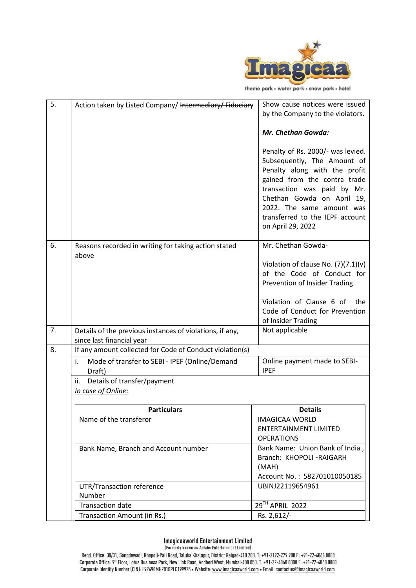

theme park • water park • snow park • hotel

| 5. | Action taken by Listed Company/ Intermediary/ Fiduciary                               | Show cause notices were issued<br>by the Company to the violators.                                                                                                                                                                                                                  |
|----|---------------------------------------------------------------------------------------|-------------------------------------------------------------------------------------------------------------------------------------------------------------------------------------------------------------------------------------------------------------------------------------|
|    |                                                                                       | Mr. Chethan Gowda:                                                                                                                                                                                                                                                                  |
|    |                                                                                       | Penalty of Rs. 2000/- was levied.<br>Subsequently, The Amount of<br>Penalty along with the profit<br>gained from the contra trade<br>transaction was paid by Mr.<br>Chethan Gowda on April 19,<br>2022. The same amount was<br>transferred to the IEPF account<br>on April 29, 2022 |
| 6. | Reasons recorded in writing for taking action stated                                  | Mr. Chethan Gowda-                                                                                                                                                                                                                                                                  |
|    | above                                                                                 | Violation of clause No. $(7)(7.1)(v)$<br>of the Code of Conduct for<br>Prevention of Insider Trading                                                                                                                                                                                |
|    |                                                                                       | Violation of Clause 6 of<br>the<br>Code of Conduct for Prevention<br>of Insider Trading                                                                                                                                                                                             |
| 7. | Details of the previous instances of violations, if any,<br>since last financial year | Not applicable                                                                                                                                                                                                                                                                      |
| 8. | If any amount collected for Code of Conduct violation(s)                              |                                                                                                                                                                                                                                                                                     |
|    | Mode of transfer to SEBI - IPEF (Online/Demand<br>i.<br>Draft)                        | Online payment made to SEBI-<br><b>IPEF</b>                                                                                                                                                                                                                                         |
|    | Details of transfer/payment<br>ii.<br>In case of Online:                              |                                                                                                                                                                                                                                                                                     |
|    | <b>Particulars</b>                                                                    | <b>Details</b>                                                                                                                                                                                                                                                                      |
|    | Name of the transferor                                                                | <b>IMAGICAA WORLD</b><br><b>ENTERTAINMENT LIMITED</b><br><b>OPERATIONS</b>                                                                                                                                                                                                          |
|    | Bank Name, Branch and Account number                                                  | Bank Name: Union Bank of India,<br>Branch: KHOPOLI - RAIGARH<br>(MAH)<br>Account No.: 582701010050185                                                                                                                                                                               |
|    | UTR/Transaction reference<br>Number                                                   | UBINJ22119654961                                                                                                                                                                                                                                                                    |
|    | <b>Transaction date</b>                                                               | 29TH APRIL 2022                                                                                                                                                                                                                                                                     |
|    | Transaction Amount (in Rs.)                                                           | Rs. 2,612/-                                                                                                                                                                                                                                                                         |

#### **Imagicaaworld Entertainment Limited** (Formerly known as Adlabs Entertainment Limited)

Regd. Office: 30/31, Sangdewadi, Khopoli-Pali Road, Taluka Khalapur, District Raigad-410 203. T: +91-2192-279 900 F: +91-22-4068 0088<br>Corporate Office: 9<sup>th</sup> Floor, Lotus Business Park, New Link Road, Andheri West, Mumbai-Corporate Identity Number (CIN): L92490MH2010PLC199925 • Website: www.imagicaaworld.com • Email: contactus@imagicaaworld.com